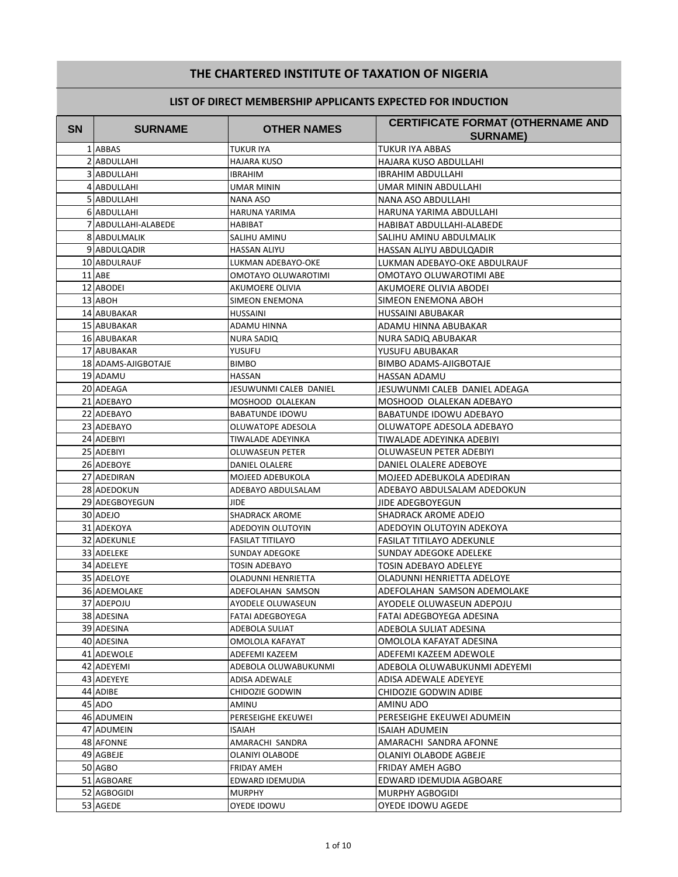# THE CHARTERED INSTITUTE OF TAXATION OF NIGERIA

| <b>SN</b> | <b>SURNAME</b>      | <b>OTHER NAMES</b>      | <b>CERTIFICATE FORMAT (OTHERNAME AND</b><br><b>SURNAME)</b> |
|-----------|---------------------|-------------------------|-------------------------------------------------------------|
|           | 1 ABBAS             | <b>TUKUR IYA</b>        | TUKUR IYA ABBAS                                             |
|           | 2 ABDULLAHI         | <b>HAJARA KUSO</b>      | HAJARA KUSO ABDULLAHI                                       |
|           | 3 ABDULLAHI         | <b>IBRAHIM</b>          | IBRAHIM ABDULLAHI                                           |
|           | 4 ABDULLAHI         | UMAR MININ              | UMAR MININ ABDULLAHI                                        |
|           | 5 ABDULLAHI         | NANA ASO                | NANA ASO ABDULLAHI                                          |
|           | 6 ABDULLAHI         | HARUNA YARIMA           | HARUNA YARIMA ABDULLAHI                                     |
|           | 7 ABDULLAHI-ALABEDE | HABIBAT                 | HABIBAT ABDULLAHI-ALABEDE                                   |
|           | 8 ABDULMALIK        | SALIHU AMINU            | SALIHU AMINU ABDULMALIK                                     |
|           | 9 ABDULQADIR        | <b>HASSAN ALIYU</b>     | HASSAN ALIYU ABDULQADIR                                     |
|           | 10 ABDULRAUF        | LUKMAN ADEBAYO-OKE      | LUKMAN ADEBAYO-OKE ABDULRAUF                                |
|           | 11 ABE              | OMOTAYO OLUWAROTIMI     | OMOTAYO OLUWAROTIMI ABE                                     |
|           | 12 ABODEI           | AKUMOERE OLIVIA         | AKUMOERE OLIVIA ABODEI                                      |
|           | 13 ABOH             | <b>SIMEON ENEMONA</b>   | SIMEON ENEMONA ABOH                                         |
|           | 14 ABUBAKAR         | <b>HUSSAINI</b>         | HUSSAINI ABUBAKAR                                           |
|           | 15 ABUBAKAR         | ADAMU HINNA             | ADAMU HINNA ABUBAKAR                                        |
|           | 16 ABUBAKAR         | <b>NURA SADIQ</b>       | NURA SADIQ ABUBAKAR                                         |
|           | 17 ABUBAKAR         | YUSUFU                  | YUSUFU ABUBAKAR                                             |
|           | 18 ADAMS-AJIGBOTAJE | <b>BIMBO</b>            | <b>BIMBO ADAMS-AJIGBOTAJE</b>                               |
|           | 19 ADAMU            | HASSAN                  | HASSAN ADAMU                                                |
|           | 20 ADEAGA           | JESUWUNMI CALEB DANIEL  | JESUWUNMI CALEB DANIEL ADEAGA                               |
|           | 21 ADEBAYO          | MOSHOOD OLALEKAN        | MOSHOOD OLALEKAN ADEBAYO                                    |
|           | 22 ADEBAYO          | <b>BABATUNDE IDOWU</b>  | BABATUNDE IDOWU ADEBAYO                                     |
|           | 23 ADEBAYO          | OLUWATOPE ADESOLA       | OLUWATOPE ADESOLA ADEBAYO                                   |
|           | 24 ADEBIYI          | TIWALADE ADEYINKA       | TIWALADE ADEYINKA ADEBIYI                                   |
|           | 25 ADEBIYI          | OLUWASEUN PETER         | OLUWASEUN PETER ADEBIYI                                     |
|           | 26 ADEBOYE          | DANIEL OLALERE          | DANIEL OLALERE ADEBOYE                                      |
|           | 27 ADEDIRAN         | MOJEED ADEBUKOLA        | MOJEED ADEBUKOLA ADEDIRAN                                   |
|           | 28 ADEDOKUN         | ADEBAYO ABDULSALAM      | ADEBAYO ABDULSALAM ADEDOKUN                                 |
|           | 29 ADEGBOYEGUN      | <b>JIDE</b>             | JIDE ADEGBOYEGUN                                            |
|           | 30 ADEJO            | <b>SHADRACK AROME</b>   | SHADRACK AROME ADEJO                                        |
|           | 31 ADEKOYA          | ADEDOYIN OLUTOYIN       | ADEDOYIN OLUTOYIN ADEKOYA                                   |
|           | 32 ADEKUNLE         | <b>FASILAT TITILAYO</b> | <b>FASILAT TITILAYO ADEKUNLE</b>                            |
|           | <b>33 ADELEKE</b>   | <b>SUNDAY ADEGOKE</b>   | SUNDAY ADEGOKE ADELEKE                                      |
|           | 34 ADELEYE          | <b>TOSIN ADEBAYO</b>    | TOSIN ADEBAYO ADELEYE                                       |
|           | 35 ADELOYE          | OLADUNNI HENRIETTA      | OLADUNNI HENRIETTA ADELOYE                                  |
|           | <b>36 ADEMOLAKE</b> | ADEFOLAHAN SAMSON       | ADEFOLAHAN SAMSON ADEMOLAKE                                 |
|           | 37 ADEPOJU          | AYODELE OLUWASEUN       | AYODELE OLUWASEUN ADEPOJU                                   |
|           | 38 ADESINA          | FATAI ADEGBOYEGA        | FATAI ADEGBOYEGA ADESINA                                    |
|           | 39 ADESINA          | ADEBOLA SULIAT          | ADEBOLA SULIAT ADESINA                                      |
|           | 40 ADESINA          | OMOLOLA KAFAYAT         | OMOLOLA KAFAYAT ADESINA                                     |
|           | 41 ADEWOLE          | ADEFEMI KAZEEM          | ADEFEMI KAZEEM ADEWOLE                                      |
|           | 42 ADEYEMI          | ADEBOLA OLUWABUKUNMI    | ADEBOLA OLUWABUKUNMI ADEYEMI                                |
|           | 43 ADEYEYE          | ADISA ADEWALE           | ADISA ADEWALE ADEYEYE                                       |
|           | 44 ADIBE            | CHIDOZIE GODWIN         | CHIDOZIE GODWIN ADIBE                                       |
|           | 45 ADO              | AMINU                   | AMINU ADO                                                   |
|           | 46 ADUMEIN          | PERESEIGHE EKEUWEI      | PERESEIGHE EKEUWEI ADUMEIN                                  |
|           | 47 ADUMEIN          | <b>ISAIAH</b>           | ISAIAH ADUMEIN                                              |
|           | 48 AFONNE           | AMARACHI SANDRA         | AMARACHI SANDRA AFONNE                                      |
|           | 49 AGBEJE           | OLANIYI OLABODE         | OLANIYI OLABODE AGBEJE                                      |
|           | 50 AGBO             | FRIDAY AMEH             | FRIDAY AMEH AGBO                                            |
|           | 51 AGBOARE          | EDWARD IDEMUDIA         | EDWARD IDEMUDIA AGBOARE                                     |
|           | 52 AGBOGIDI         | MURPHY                  | MURPHY AGBOGIDI                                             |
|           | 53 AGEDE            | OYEDE IDOWU             | OYEDE IDOWU AGEDE                                           |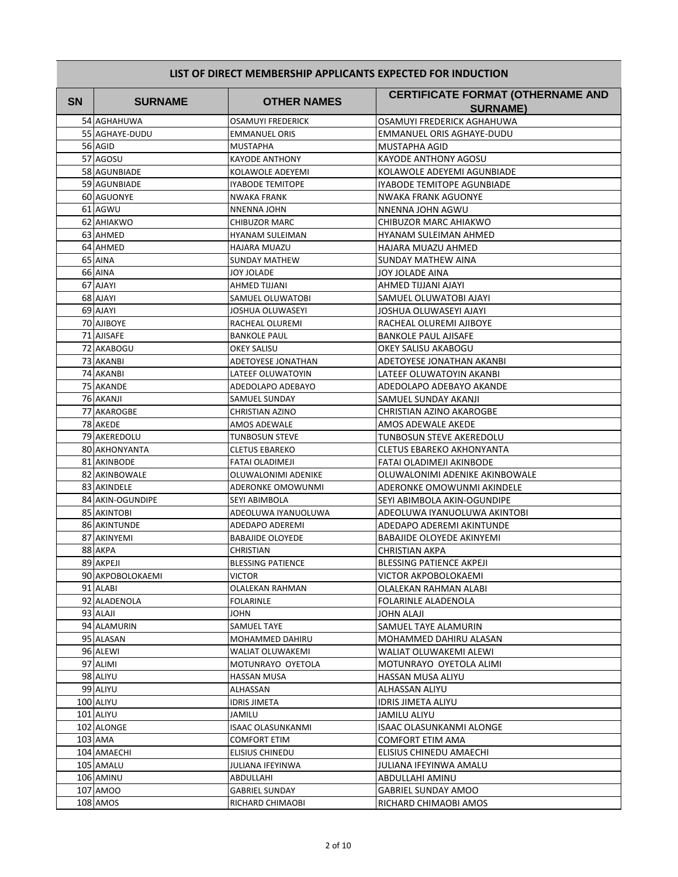| LIST OF DIRECT MEMBERSHIP APPLICANTS EXPECTED FOR INDUCTION |  |  |  |
|-------------------------------------------------------------|--|--|--|

| <b>SN</b> | <b>SURNAME</b>                  | <b>OTHER NAMES</b>                   | <b>CERTIFICATE FORMAT (OTHERNAME AND</b>                    |
|-----------|---------------------------------|--------------------------------------|-------------------------------------------------------------|
|           |                                 |                                      | <b>SURNAME)</b>                                             |
|           | 54 AGHAHUWA                     | <b>OSAMUYI FREDERICK</b>             | OSAMUYI FREDERICK AGHAHUWA                                  |
|           | 55 AGHAYE-DUDU                  | <b>EMMANUEL ORIS</b>                 | EMMANUEL ORIS AGHAYE-DUDU                                   |
|           | 56 AGID                         | <b>MUSTAPHA</b>                      | MUSTAPHA AGID                                               |
|           | 57 AGOSU                        | <b>KAYODE ANTHONY</b>                | KAYODE ANTHONY AGOSU                                        |
|           | 58 AGUNBIADE                    | KOLAWOLE ADEYEMI                     | KOLAWOLE ADEYEMI AGUNBIADE                                  |
|           | 59 AGUNBIADE                    | <b>IYABODE TEMITOPE</b>              | IYABODE TEMITOPE AGUNBIADE                                  |
|           | <b>60 AGUONYE</b>               | NWAKA FRANK                          | NWAKA FRANK AGUONYE                                         |
|           | 61 AGWU                         | <b>NNENNA JOHN</b>                   | NNENNA JOHN AGWU                                            |
|           | 62 AHIAKWO                      | <b>CHIBUZOR MARC</b>                 | CHIBUZOR MARC AHIAKWO                                       |
|           | 63 AHMED                        | <b>HYANAM SULEIMAN</b>               | HYANAM SULEIMAN AHMED                                       |
|           | 64 AHMED                        | <b>HAJARA MUAZU</b>                  | HAJARA MUAZU AHMED                                          |
|           | 65 AINA                         | <b>SUNDAY MATHEW</b>                 | SUNDAY MATHEW AINA                                          |
|           | 66 AINA                         | <b>JOY JOLADE</b>                    | JOY JOLADE AINA                                             |
|           | 67 AJAYI                        | AHMED TIJJANI                        | AHMED TIJJANI AJAYI                                         |
|           | 68 AJAYI                        | SAMUEL OLUWATOBI                     | SAMUEL OLUWATOBI AJAYI                                      |
|           | 69 AJAYI                        | JOSHUA OLUWASEYI                     | JOSHUA OLUWASEYI AJAYI                                      |
|           | 70 AJIBOYE                      | RACHEAL OLUREMI                      | RACHEAL OLUREMI AJIBOYE                                     |
|           | 71 AJISAFE                      | <b>BANKOLE PAUL</b>                  | <b>BANKOLE PAUL AJISAFE</b>                                 |
|           | 72 AKABOGU                      | <b>OKEY SALISU</b>                   | OKEY SALISU AKABOGU                                         |
|           | 73 AKANBI                       | ADETOYESE JONATHAN                   | ADETOYESE JONATHAN AKANBI                                   |
|           | 74 AKANBI                       | LATEEF OLUWATOYIN                    | LATEEF OLUWATOYIN AKANBI                                    |
|           | 75 AKANDE                       | ADEDOLAPO ADEBAYO                    | ADEDOLAPO ADEBAYO AKANDE                                    |
|           | 76 AKANJI                       | SAMUEL SUNDAY                        | SAMUEL SUNDAY AKANJI                                        |
|           | 77 AKAROGBE                     | <b>CHRISTIAN AZINO</b>               | CHRISTIAN AZINO AKAROGBE                                    |
|           | 78 AKEDE                        | AMOS ADEWALE                         | AMOS ADEWALE AKEDE                                          |
|           | 79 AKEREDOLU                    | <b>TUNBOSUN STEVE</b>                | TUNBOSUN STEVE AKEREDOLU                                    |
|           | <b>80 AKHONYANTA</b>            | <b>CLETUS EBAREKO</b>                | CLETUS EBAREKO AKHONYANTA                                   |
|           | 81 AKINBODE                     | FATAI OLADIMEJI                      | FATAI OLADIMEJI AKINBODE                                    |
|           | 82 AKINBOWALE                   | OLUWALONIMI ADENIKE                  | OLUWALONIMI ADENIKE AKINBOWALE                              |
|           | 83 AKINDELE                     | ADERONKE OMOWUNMI                    | ADERONKE OMOWUNMI AKINDELE                                  |
|           | 84 AKIN-OGUNDIPE<br>85 AKINTOBI | SEYI ABIMBOLA<br>ADEOLUWA IYANUOLUWA | SEYI ABIMBOLA AKIN-OGUNDIPE<br>ADEOLUWA IYANUOLUWA AKINTOBI |
|           | 86 AKINTUNDE                    | ADEDAPO ADEREMI                      | ADEDAPO ADEREMI AKINTUNDE                                   |
|           | 87 AKINYEMI                     | <b>BABAJIDE OLOYEDE</b>              | BABAJIDE OLOYEDE AKINYEMI                                   |
|           | 88 AKPA                         | <b>CHRISTIAN</b>                     | CHRISTIAN AKPA                                              |
|           | 89 AKPEJI                       | <b>BLESSING PATIENCE</b>             | BLESSING PATIENCE AKPEJI                                    |
|           | 90 AKPOBOLOKAEMI                | <b>VICTOR</b>                        | VICTOR AKPOBOLOKAEMI                                        |
|           | 91 ALABI                        | OLALEKAN RAHMAN                      | OLALEKAN RAHMAN ALABI                                       |
|           | 92 ALADENOLA                    | <b>FOLARINLE</b>                     | <b>FOLARINLE ALADENOLA</b>                                  |
|           | 93 ALAJI                        | JOHN                                 | JOHN ALAJI                                                  |
|           | 94 ALAMURIN                     | SAMUEL TAYE                          | SAMUEL TAYE ALAMURIN                                        |
|           | 95 ALASAN                       | MOHAMMED DAHIRU                      | MOHAMMED DAHIRU ALASAN                                      |
|           | 96 ALEWI                        | WALIAT OLUWAKEMI                     | WALIAT OLUWAKEMI ALEWI                                      |
|           | 97 ALIMI                        | MOTUNRAYO OYETOLA                    | MOTUNRAYO OYETOLA ALIMI                                     |
|           | 98 ALIYU                        | HASSAN MUSA                          | HASSAN MUSA ALIYU                                           |
|           | 99 ALIYU                        | ALHASSAN                             | ALHASSAN ALIYU                                              |
|           | 100 ALIYU                       | IDRIS JIMETA                         | <b>IDRIS JIMETA ALIYU</b>                                   |
|           | 101 ALIYU                       | JAMILU                               | JAMILU ALIYU                                                |
|           | 102 ALONGE                      | <b>ISAAC OLASUNKANMI</b>             | ISAAC OLASUNKANMI ALONGE                                    |
|           | 103 AMA                         | <b>COMFORT ETIM</b>                  | COMFORT ETIM AMA                                            |
|           | 104 AMAECHI                     | <b>ELISIUS CHINEDU</b>               | ELISIUS CHINEDU AMAECHI                                     |
|           | 105 AMALU                       | JULIANA IFEYINWA                     | JULIANA IFEYINWA AMALU                                      |
|           | 106 AMINU                       | ABDULLAHI                            | ABDULLAHI AMINU                                             |
|           | 107 AMOO                        | <b>GABRIEL SUNDAY</b>                | <b>GABRIEL SUNDAY AMOO</b>                                  |
|           | 108 AMOS                        | RICHARD CHIMAOBI                     | RICHARD CHIMAOBI AMOS                                       |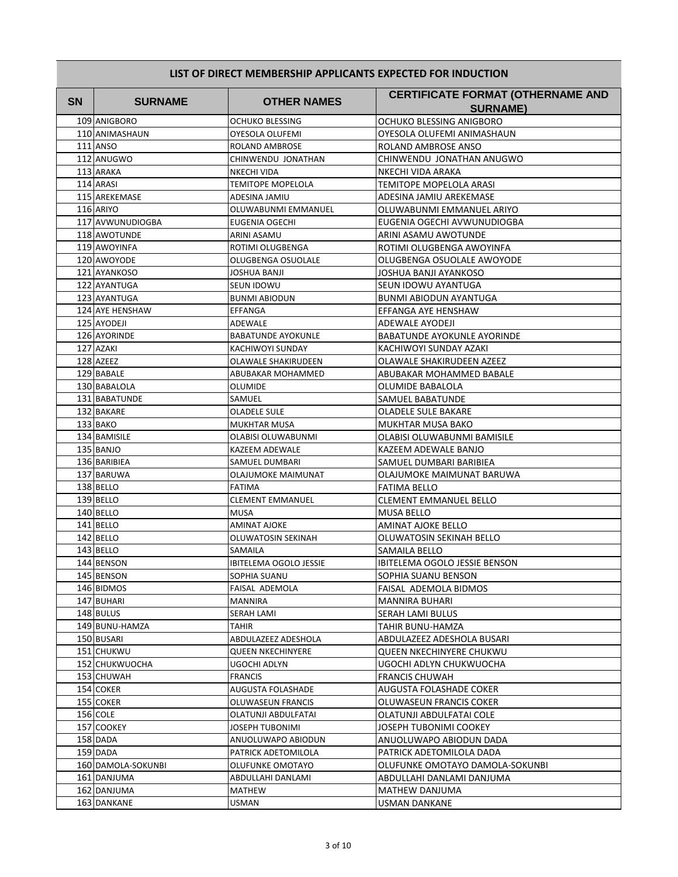| <b>SN</b> | <b>SURNAME</b>           | <b>OTHER NAMES</b>                       | <b>CERTIFICATE FORMAT (OTHERNAME AND</b><br><b>SURNAME)</b> |
|-----------|--------------------------|------------------------------------------|-------------------------------------------------------------|
|           | 109 ANIGBORO             | <b>OCHUKO BLESSING</b>                   | OCHUKO BLESSING ANIGBORO                                    |
|           | 110 ANIMASHAUN           | OYESOLA OLUFEMI                          | OYESOLA OLUFEMI ANIMASHAUN                                  |
|           | 111 ANSO                 | ROLAND AMBROSE                           | ROLAND AMBROSE ANSO                                         |
|           | 112 ANUGWO               | CHINWENDU JONATHAN                       | CHINWENDU JONATHAN ANUGWO                                   |
|           | 113 ARAKA                | NKECHI VIDA                              | NKECHI VIDA ARAKA                                           |
|           | 114 ARASI                | <b>TEMITOPE MOPELOLA</b>                 | TEMITOPE MOPELOLA ARASI                                     |
|           | 115 AREKEMASE            | ADESINA JAMIU                            | ADESINA JAMIU AREKEMASE                                     |
|           | 116 ARIYO                | OLUWABUNMI EMMANUEL                      | OLUWABUNMI EMMANUEL ARIYO                                   |
|           | 117 AVWUNUDIOGBA         | EUGENIA OGECHI                           | EUGENIA OGECHI AVWUNUDIOGBA                                 |
|           | 118 AWOTUNDE             | ARINI ASAMU                              | ARINI ASAMU AWOTUNDE                                        |
|           | 119 AWOYINFA             | ROTIMI OLUGBENGA                         | ROTIMI OLUGBENGA AWOYINFA                                   |
|           | 120 AWOYODE              | OLUGBENGA OSUOLALE                       | OLUGBENGA OSUOLALE AWOYODE                                  |
|           | 121 AYANKOSO             | JOSHUA BANJI                             | JOSHUA BANJI AYANKOSO                                       |
|           | 122 AYANTUGA             | <b>SEUN IDOWU</b>                        | SEUN IDOWU AYANTUGA                                         |
|           | 123 AYANTUGA             | <b>BUNMI ABIODUN</b>                     | BUNMI ABIODUN AYANTUGA                                      |
|           | 124 AYE HENSHAW          | EFFANGA                                  | EFFANGA AYE HENSHAW                                         |
|           | 125 AYODEJI              | ADEWALE                                  | ADEWALE AYODEJI                                             |
|           | 126 AYORINDE             | <b>BABATUNDE AYOKUNLE</b>                | <b>BABATUNDE AYOKUNLE AYORINDE</b>                          |
|           | 127 AZAKI                | <b>KACHIWOYI SUNDAY</b>                  | KACHIWOYI SUNDAY AZAKI                                      |
|           | 128 AZEEZ                | <b>OLAWALE SHAKIRUDEEN</b>               | OLAWALE SHAKIRUDEEN AZEEZ                                   |
|           | 129 BABALE               | <b>ABUBAKAR MOHAMMED</b>                 | ABUBAKAR MOHAMMED BABALE                                    |
|           | 130 BABALOLA             | OLUMIDE                                  | OLUMIDE BABALOLA                                            |
|           | 131 BABATUNDE            | SAMUEL                                   | SAMUEL BABATUNDE                                            |
|           | 132 BAKARE               | <b>OLADELE SULE</b>                      | OLADELE SULE BAKARE                                         |
|           | 133 BAKO                 | MUKHTAR MUSA                             | MUKHTAR MUSA BAKO                                           |
|           | 134 BAMISILE             | OLABISI OLUWABUNMI                       | OLABISI OLUWABUNMI BAMISILE                                 |
|           | 135 BANJO                | KAZEEM ADEWALE                           | KAZEEM ADEWALE BANJO                                        |
|           | 136 BARIBIEA             | SAMUEL DUMBARI                           | SAMUEL DUMBARI BARIBIEA                                     |
|           | 137 BARUWA               | OLAJUMOKE MAIMUNAT                       | OLAJUMOKE MAIMUNAT BARUWA                                   |
|           | 138 BELLO                | FATIMA                                   | <b>FATIMA BELLO</b>                                         |
|           | 139 BELLO                | <b>CLEMENT EMMANUEL</b>                  | <b>CLEMENT EMMANUEL BELLO</b>                               |
|           | 140 BELLO                | <b>MUSA</b>                              | <b>MUSA BELLO</b>                                           |
|           | 141 BELLO                | <b>AMINAT AJOKE</b>                      | AMINAT AJOKE BELLO                                          |
|           | 142 BELLO                | OLUWATOSIN SEKINAH                       | OLUWATOSIN SEKINAH BELLO                                    |
|           | 143 BELLO                | SAMAILA<br><b>IBITELEMA OGOLO JESSIE</b> | SAMAILA BELLO<br><b>IBITELEMA OGOLO JESSIE BENSON</b>       |
|           | 144 BENSON<br>145 BENSON | SOPHIA SUANU                             | SOPHIA SUANU BENSON                                         |
|           | 146 BIDMOS               |                                          | FAISAL ADEMOLA BIDMOS                                       |
|           | 147 BUHARI               | FAISAL ADEMOLA<br><b>MANNIRA</b>         |                                                             |
|           | 148 BULUS                | SERAH LAMI                               | MANNIRA BUHARI<br>SERAH LAMI BULUS                          |
|           | 149 BUNU-HAMZA           | <b>TAHIR</b>                             | TAHIR BUNU-HAMZA                                            |
|           | 150 BUSARI               | ABDULAZEEZ ADESHOLA                      | ABDULAZEEZ ADESHOLA BUSARI                                  |
|           | 151 CHUKWU               | QUEEN NKECHINYERE                        | <b>QUEEN NKECHINYERE CHUKWU</b>                             |
|           | 152 CHUKWUOCHA           | UGOCHI ADLYN                             | UGOCHI ADLYN CHUKWUOCHA                                     |
|           | 153 CHUWAH               | <b>FRANCIS</b>                           | <b>FRANCIS CHUWAH</b>                                       |
|           | 154 COKER                | AUGUSTA FOLASHADE                        | AUGUSTA FOLASHADE COKER                                     |
|           | 155 COKER                | OLUWASEUN FRANCIS                        | OLUWASEUN FRANCIS COKER                                     |
|           | 156 COLE                 | OLATUNJI ABDULFATAI                      | OLATUNJI ABDULFATAI COLE                                    |
|           | 157 COOKEY               | JOSEPH TUBONIMI                          | JOSEPH TUBONIMI COOKEY                                      |
|           | 158 DADA                 | ANUOLUWAPO ABIODUN                       | ANUOLUWAPO ABIODUN DADA                                     |
|           | 159 DADA                 | PATRICK ADETOMILOLA                      | PATRICK ADETOMILOLA DADA                                    |
|           | 160 DAMOLA-SOKUNBI       | OLUFUNKE OMOTAYO                         | OLUFUNKE OMOTAYO DAMOLA-SOKUNBI                             |
|           | 161 DANJUMA              | ABDULLAHI DANLAMI                        | ABDULLAHI DANLAMI DANJUMA                                   |
|           | 162 DANJUMA              | MATHEW                                   | MATHEW DANJUMA                                              |
|           | 163 DANKANE              | USMAN                                    | USMAN DANKANE                                               |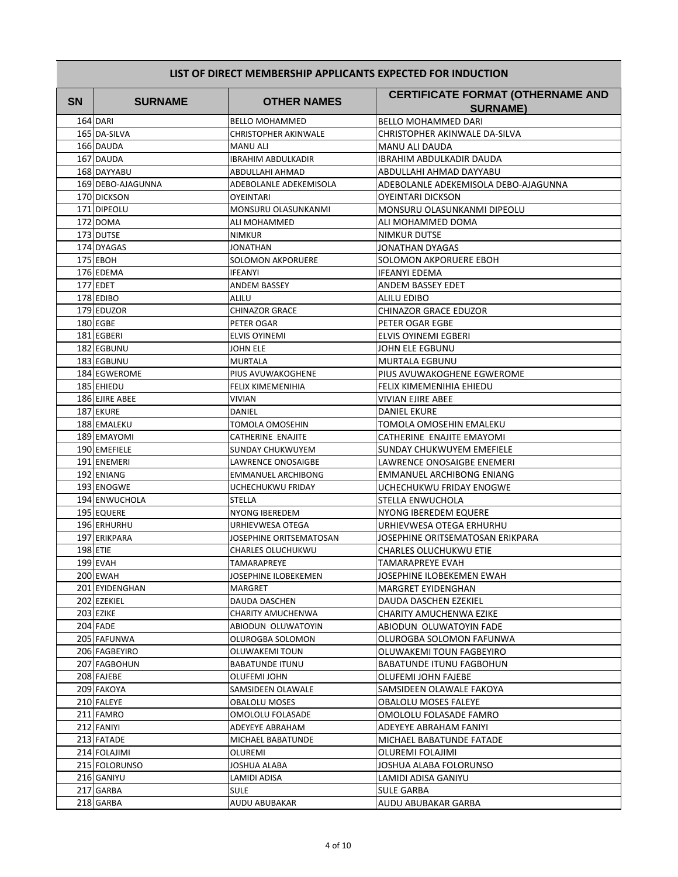| <b>SN</b> | <b>SURNAME</b>    | <b>OTHER NAMES</b>          | <b>CERTIFICATE FORMAT (OTHERNAME AND</b> |
|-----------|-------------------|-----------------------------|------------------------------------------|
|           |                   |                             | <b>SURNAME)</b>                          |
|           | 164 DARI          | <b>BELLO MOHAMMED</b>       | <b>BELLO MOHAMMED DARI</b>               |
|           | 165 DA-SILVA      | <b>CHRISTOPHER AKINWALE</b> | CHRISTOPHER AKINWALE DA-SILVA            |
|           | 166 DAUDA         | <b>MANU ALI</b>             | MANU ALI DAUDA                           |
|           | 167 DAUDA         | <b>IBRAHIM ABDULKADIR</b>   | IBRAHIM ABDULKADIR DAUDA                 |
|           | 168 DAYYABU       | ABDULLAHI AHMAD             | ABDULLAHI AHMAD DAYYABU                  |
|           | 169 DEBO-AJAGUNNA | ADEBOLANLE ADEKEMISOLA      | ADEBOLANLE ADEKEMISOLA DEBO-AJAGUNNA     |
|           | 170 DICKSON       | OYEINTARI                   | OYEINTARI DICKSON                        |
|           | 171 DIPEOLU       | MONSURU OLASUNKANMI         | MONSURU OLASUNKANMI DIPEOLU              |
|           | 172 DOMA          | ALI MOHAMMED                | ALI MOHAMMED DOMA                        |
|           | 173 DUTSE         | <b>NIMKUR</b>               | NIMKUR DUTSE                             |
|           | 174 DYAGAS        | <b>JONATHAN</b>             | JONATHAN DYAGAS                          |
|           | 175 EBOH          | <b>SOLOMON AKPORUERE</b>    | SOLOMON AKPORUERE EBOH                   |
|           | 176 EDEMA         | <b>IFEANYI</b>              | IFEANYI EDEMA                            |
|           | 177 EDET          | ANDEM BASSEY                | ANDEM BASSEY EDET                        |
|           | 178 EDIBO         | ALILU                       | ALILU EDIBO                              |
|           | 179 EDUZOR        | <b>CHINAZOR GRACE</b>       | CHINAZOR GRACE EDUZOR                    |
|           | 180 EGBE          | PETER OGAR                  | PETER OGAR EGBE                          |
|           | 181 EGBERI        | <b>ELVIS OYINEMI</b>        | ELVIS OYINEMI EGBERI                     |
|           | 182 EGBUNU        | <b>JOHN ELE</b>             | JOHN ELE EGBUNU                          |
|           | 183 EGBUNU        | <b>MURTALA</b>              | <b>MURTALA EGBUNU</b>                    |
|           | 184 EGWEROME      | PIUS AVUWAKOGHENE           | PIUS AVUWAKOGHENE EGWEROME               |
|           | 185 EHIEDU        | FELIX KIMEMENIHIA           | FELIX KIMEMENIHIA EHIEDU                 |
|           | 186 EJIRE ABEE    | <b>VIVIAN</b>               | VIVIAN EJIRE ABEE                        |
|           | 187 EKURE         | DANIEL                      | DANIEL EKURE                             |
|           | 188 EMALEKU       | TOMOLA OMOSEHIN             | TOMOLA OMOSEHIN EMALEKU                  |
|           | 189 EMAYOMI       | <b>CATHERINE ENAJITE</b>    | CATHERINE ENAJITE EMAYOMI                |
|           | 190 EMEFIELE      | SUNDAY CHUKWUYEM            | SUNDAY CHUKWUYEM EMEFIELE                |
|           | 191 ENEMERI       | LAWRENCE ONOSAIGBE          | LAWRENCE ONOSAIGBE ENEMERI               |
|           | 192 ENIANG        | <b>EMMANUEL ARCHIBONG</b>   | <b>EMMANUEL ARCHIBONG ENIANG</b>         |
|           | 193 ENOGWE        | UCHECHUKWU FRIDAY           | UCHECHUKWU FRIDAY ENOGWE                 |
|           | 194 ENWUCHOLA     | <b>STELLA</b>               | STELLA ENWUCHOLA                         |
|           | 195 EQUERE        | NYONG IBEREDEM              | NYONG IBEREDEM EQUERE                    |
|           | 196 ERHURHU       | URHIEVWESA OTEGA            | URHIEVWESA OTEGA ERHURHU                 |
|           | 197 ERIKPARA      | JOSEPHINE ORITSEMATOSAN     | JOSEPHINE ORITSEMATOSAN ERIKPARA         |
|           | <b>198 ETIE</b>   | CHARLES OLUCHUKWU           | CHARLES OLUCHUKWU ETIE                   |
|           | 199 EVAH          | TAMARAPREYE                 | TAMARAPREYE EVAH                         |
|           | 200 EWAH          | JOSEPHINE ILOBEKEMEN        | JOSEPHINE ILOBEKEMEN EWAH                |
|           | 201 EYIDENGHAN    | MARGRET                     | MARGRET EYIDENGHAN                       |
|           | 202 EZEKIEL       | DAUDA DASCHEN               | DAUDA DASCHEN EZEKIEL                    |
|           | 203 EZIKE         | CHARITY AMUCHENWA           | CHARITY AMUCHENWA EZIKE                  |
|           | 204 FADE          | ABIODUN OLUWATOYIN          | ABIODUN OLUWATOYIN FADE                  |
|           | 205 FAFUNWA       | OLUROGBA SOLOMON            | OLUROGBA SOLOMON FAFUNWA                 |
|           | 206 FAGBEYIRO     | OLUWAKEMI TOUN              | OLUWAKEMI TOUN FAGBEYIRO                 |
|           | 207 FAGBOHUN      | <b>BABATUNDE ITUNU</b>      | BABATUNDE ITUNU FAGBOHUN                 |
|           | 208 FAJEBE        | OLUFEMI JOHN                | OLUFEMI JOHN FAJEBE                      |
|           | 209 FAKOYA        | SAMSIDEEN OLAWALE           | SAMSIDEEN OLAWALE FAKOYA                 |
|           | 210 FALEYE        | <b>OBALOLU MOSES</b>        | OBALOLU MOSES FALEYE                     |
|           | 211 FAMRO         | OMOLOLU FOLASADE            | OMOLOLU FOLASADE FAMRO                   |
|           | 212 FANIYI        | ADEYEYE ABRAHAM             | ADEYEYE ABRAHAM FANIYI                   |
|           | 213 FATADE        | MICHAEL BABATUNDE           | MICHAEL BABATUNDE FATADE                 |
|           | 214 FOLAJIMI      | OLUREMI                     | OLUREMI FOLAJIMI                         |
|           | 215 FOLORUNSO     | JOSHUA ALABA                | JOSHUA ALABA FOLORUNSO                   |
|           | 216 GANIYU        | LAMIDI ADISA                | LAMIDI ADISA GANIYU                      |
|           | 217 GARBA         | <b>SULE</b>                 | SULE GARBA                               |
|           | 218 GARBA         | AUDU ABUBAKAR               | AUDU ABUBAKAR GARBA                      |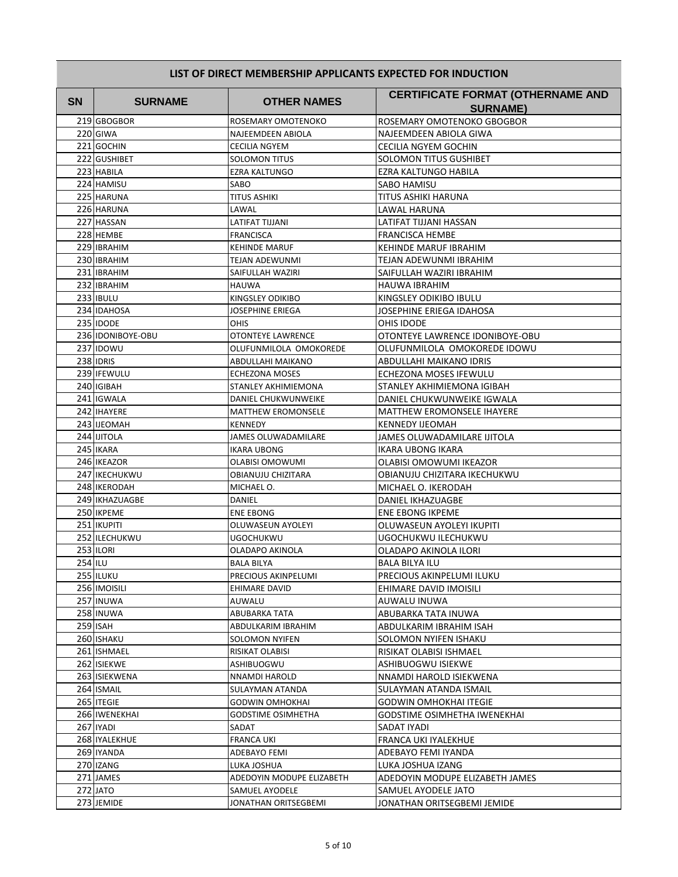| SN. | <b>SURNAME</b>             | <b>OTHER NAMES</b>                          | <b>CERTIFICATE FORMAT (OTHERNAME AND</b>       |
|-----|----------------------------|---------------------------------------------|------------------------------------------------|
|     |                            |                                             | <b>SURNAME)</b>                                |
|     | 219 GBOGBOR                | ROSEMARY OMOTENOKO                          | ROSEMARY OMOTENOKO GBOGBOR                     |
|     | 220 GIWA                   | NAJEEMDEEN ABIOLA                           | NAJEEMDEEN ABIOLA GIWA                         |
|     | 221 GOCHIN                 | <b>CECILIA NGYEM</b>                        | <b>CECILIA NGYEM GOCHIN</b>                    |
|     | 222 GUSHIBET               | SOLOMON TITUS                               | <b>SOLOMON TITUS GUSHIBET</b>                  |
|     | 223 HABILA                 | <b>EZRA KALTUNGO</b>                        | EZRA KALTUNGO HABILA                           |
|     | 224 HAMISU                 | SABO                                        | SABO HAMISU                                    |
|     | 225 HARUNA                 | TITUS ASHIKI                                | TITUS ASHIKI HARUNA                            |
|     | 226 HARUNA                 | LAWAL                                       | LAWAL HARUNA                                   |
|     | 227 HASSAN                 | LATIFAT TIJJANI                             | LATIFAT TIJJANI HASSAN                         |
|     | 228 HEMBE                  | <b>FRANCISCA</b>                            | <b>FRANCISCA HEMBE</b>                         |
|     | 229 <b>IBRAHIM</b>         | <b>KEHINDE MARUF</b>                        | KEHINDE MARUF IBRAHIM                          |
|     | 230 <b>IBRAHIM</b>         | <b>TEJAN ADEWUNMI</b>                       | TEJAN ADEWUNMI IBRAHIM                         |
|     | 231 <b>IBRAHIM</b>         | SAIFULLAH WAZIRI                            | SAIFULLAH WAZIRI IBRAHIM                       |
|     | 232 <b>IBRAHIM</b>         | <b>HAUWA</b>                                | HAUWA IBRAHIM                                  |
|     | 233 IBULU                  | KINGSLEY ODIKIBO                            | KINGSLEY ODIKIBO IBULU                         |
|     | 234 IDAHOSA                | JOSEPHINE ERIEGA                            | JOSEPHINE ERIEGA IDAHOSA                       |
|     | 235 IDODE                  | OHIS                                        | OHIS IDODE                                     |
|     | 236 IDONIBOYE-OBU          | <b>OTONTEYE LAWRENCE</b>                    | OTONTEYE LAWRENCE IDONIBOYE-OBU                |
|     | 237 IDOWU                  | OLUFUNMILOLA OMOKOREDE                      | OLUFUNMILOLA OMOKOREDE IDOWU                   |
|     | 238 IDRIS                  | ABDULLAHI MAIKANO                           | ABDULLAHI MAIKANO IDRIS                        |
|     | 239 IFEWULU                | <b>ECHEZONA MOSES</b>                       | ECHEZONA MOSES IFEWULU                         |
|     | 240 IGIBAH                 | STANLEY AKHIMIEMONA                         | STANLEY AKHIMIEMONA IGIBAH                     |
|     | 241 IGWALA                 | DANIEL CHUKWUNWEIKE                         | DANIEL CHUKWUNWEIKE IGWALA                     |
|     | 242 IHAYERE<br>243 IJEOMAH | <b>MATTHEW EROMONSELE</b><br><b>KENNEDY</b> | MATTHEW EROMONSELE IHAYERE                     |
|     | 244 IJITOLA                |                                             | KENNEDY IJEOMAH<br>JAMES OLUWADAMILARE IJITOLA |
|     | 245 IKARA                  | JAMES OLUWADAMILARE<br><b>IKARA UBONG</b>   |                                                |
|     | 246 IKEAZOR                | <b>OLABISI OMOWUMI</b>                      | IKARA UBONG IKARA<br>OLABISI OMOWUMI IKEAZOR   |
|     | 247 IKECHUKWU              | <b>OBIANUJU CHIZITARA</b>                   | OBIANUJU CHIZITARA IKECHUKWU                   |
|     | 248 IKERODAH               | MICHAEL O.                                  | MICHAEL O. IKERODAH                            |
|     | 249 IKHAZUAGBE             | DANIEL                                      | DANIEL IKHAZUAGBE                              |
|     | 250 IKPEME                 | <b>ENE EBONG</b>                            | ENE EBONG IKPEME                               |
|     | 251 IKUPITI                | OLUWASEUN AYOLEYI                           | OLUWASEUN AYOLEYI IKUPITI                      |
|     | 252 ILECHUKWU              | UGOCHUKWU                                   | UGOCHUKWU ILECHUKWU                            |
|     | 253 ILORI                  | OLADAPO AKINOLA                             | OLADAPO AKINOLA ILORI                          |
|     | <b>254 ILU</b>             | <b>BALA BILYA</b>                           | BALA BILYA ILU                                 |
|     | 255 ILUKU                  | PRECIOUS AKINPELUMI                         | PRECIOUS AKINPELUMI ILUKU                      |
|     | 256 IMOISILI               | EHIMARE DAVID                               | EHIMARE DAVID IMOISILI                         |
|     | 257 INUWA                  | AUWALU                                      | AUWALU INUWA                                   |
|     | 258 INUWA                  | ABUBARKA TATA                               | ABUBARKA TATA INUWA                            |
|     | 259 ISAH                   | ABDULKARIM IBRAHIM                          | ABDULKARIM IBRAHIM ISAH                        |
|     | 260 ISHAKU                 | SOLOMON NYIFEN                              | SOLOMON NYIFEN ISHAKU                          |
|     | 261 ISHMAEL                | RISIKAT OLABISI                             | RISIKAT OLABISI ISHMAEL                        |
|     | 262 ISIEKWE                | ASHIBUOGWU                                  | ASHIBUOGWU ISIEKWE                             |
|     | 263 ISIEKWENA              | NNAMDI HAROLD                               | NNAMDI HAROLD ISIEKWENA                        |
|     | 264 ISMAIL                 | SULAYMAN ATANDA                             | SULAYMAN ATANDA ISMAIL                         |
|     | 265   ITEGIE               | <b>GODWIN OMHOKHAI</b>                      | GODWIN OMHOKHAI ITEGIE                         |
|     | 266 IWENEKHAI              | <b>GODSTIME OSIMHETHA</b>                   | GODSTIME OSIMHETHA IWENEKHAI                   |
|     | 267 IYADI                  | SADAT                                       | SADAT IYADI                                    |
|     | 268 IYALEKHUE              | <b>FRANCA UKI</b>                           | FRANCA UKI IYALEKHUE                           |
|     | 269 IYANDA                 | ADEBAYO FEMI                                | ADEBAYO FEMI IYANDA                            |
|     | 270 IZANG                  | LUKA JOSHUA                                 | LUKA JOSHUA IZANG                              |
|     | 271 JAMES                  | ADEDOYIN MODUPE ELIZABETH                   | ADEDOYIN MODUPE ELIZABETH JAMES                |
|     | 272 JATO                   | SAMUEL AYODELE                              | SAMUEL AYODELE JATO                            |
|     | 273 JEMIDE                 | JONATHAN ORITSEGBEMI                        | JONATHAN ORITSEGBEMI JEMIDE                    |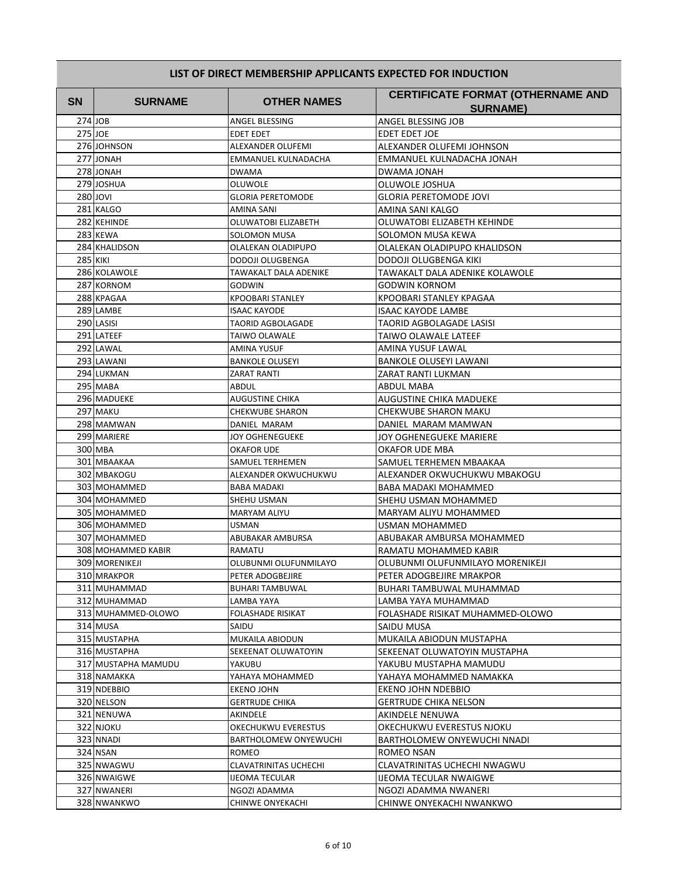| SN. | <b>SURNAME</b>      | <b>OTHER NAMES</b>       | <b>CERTIFICATE FORMAT (OTHERNAME AND</b><br><b>SURNAME)</b> |
|-----|---------------------|--------------------------|-------------------------------------------------------------|
|     | $274$ JOB           | ANGEL BLESSING           | ANGEL BLESSING JOB                                          |
|     | 275 JOE             | <b>EDET EDET</b>         | EDET EDET JOE                                               |
|     | 276 JOHNSON         | ALEXANDER OLUFEMI        | ALEXANDER OLUFEMI JOHNSON                                   |
|     | 277 JONAH           | EMMANUEL KULNADACHA      | EMMANUEL KULNADACHA JONAH                                   |
|     | 278 JONAH           | <b>DWAMA</b>             | DWAMA JONAH                                                 |
|     | 279 JOSHUA          | OLUWOLE                  | OLUWOLE JOSHUA                                              |
|     | 280 JOVI            | <b>GLORIA PERETOMODE</b> | GLORIA PERETOMODE JOVI                                      |
|     | 281 KALGO           | AMINA SANI               | AMINA SANI KALGO                                            |
|     | 282 KEHINDE         | OLUWATOBI ELIZABETH      | OLUWATOBI ELIZABETH KEHINDE                                 |
|     | 283 KEWA            | <b>SOLOMON MUSA</b>      | SOLOMON MUSA KEWA                                           |
|     | 284 KHALIDSON       | OLALEKAN OLADIPUPO       | OLALEKAN OLADIPUPO KHALIDSON                                |
|     | <b>285 KIKI</b>     | DODOJI OLUGBENGA         | DODOJI OLUGBENGA KIKI                                       |
|     | 286 KOLAWOLE        | TAWAKALT DALA ADENIKE    | TAWAKALT DALA ADENIKE KOLAWOLE                              |
|     | 287 KORNOM          | GODWIN                   | <b>GODWIN KORNOM</b>                                        |
|     | 288 KPAGAA          | <b>KPOOBARI STANLEY</b>  | KPOOBARI STANLEY KPAGAA                                     |
|     | 289 LAMBE           | <b>ISAAC KAYODE</b>      | <b>ISAAC KAYODE LAMBE</b>                                   |
|     | 290 LASISI          | <b>TAORID AGBOLAGADE</b> | TAORID AGBOLAGADE LASISI                                    |
|     | 291 LATEEF          | <b>TAIWO OLAWALE</b>     | TAIWO OLAWALE LATEEF                                        |
|     | 292 LAWAL           | <b>AMINA YUSUF</b>       | AMINA YUSUF LAWAL                                           |
|     | 293 LAWANI          | <b>BANKOLE OLUSEYI</b>   | <b>BANKOLE OLUSEYI LAWANI</b>                               |
|     | 294 LUKMAN          | <b>ZARAT RANTI</b>       | ZARAT RANTI LUKMAN                                          |
|     | 295 MABA            | ABDUL                    | <b>ABDUL MABA</b>                                           |
|     | 296 MADUEKE         | <b>AUGUSTINE CHIKA</b>   | AUGUSTINE CHIKA MADUEKE                                     |
|     | 297 MAKU            | <b>CHEKWUBE SHARON</b>   | CHEKWUBE SHARON MAKU                                        |
|     | 298 MAMWAN          | DANIEL MARAM             | DANIEL MARAM MAMWAN                                         |
|     | 299 MARIERE         | JOY OGHENEGUEKE          | JOY OGHENEGUEKE MARIERE                                     |
|     | 300 MBA             | OKAFOR UDE               | OKAFOR UDE MBA                                              |
|     | 301 MBAAKAA         | SAMUEL TERHEMEN          | SAMUEL TERHEMEN MBAAKAA                                     |
|     | 302 MBAKOGU         | ALEXANDER OKWUCHUKWU     | ALEXANDER OKWUCHUKWU MBAKOGU                                |
|     | 303 MOHAMMED        | <b>BABA MADAKI</b>       | BABA MADAKI MOHAMMED                                        |
|     | 304 MOHAMMED        | SHEHU USMAN              | SHEHU USMAN MOHAMMED                                        |
|     | 305 MOHAMMED        | <b>MARYAM ALIYU</b>      | MARYAM ALIYU MOHAMMED                                       |
|     | 306 MOHAMMED        | <b>USMAN</b>             | USMAN MOHAMMED                                              |
|     | 307 MOHAMMED        | ABUBAKAR AMBURSA         | ABUBAKAR AMBURSA MOHAMMED                                   |
|     | 308 MOHAMMED KABIR  | <b>RAMATU</b>            | RAMATU MOHAMMED KABIR                                       |
|     | 309 MORENIKEJI      | OLUBUNMI OLUFUNMILAYO    | OLUBUNMI OLUFUNMILAYO MORENIKEJI                            |
|     | 310 MRAKPOR         | PETER ADOGBEJIRE         | PETER ADOGBEJIRE MRAKPOR                                    |
|     | 311 MUHAMMAD        | <b>BUHARI TAMBUWAL</b>   | BUHARI TAMBUWAL MUHAMMAD                                    |
|     | 312 MUHAMMAD        | LAMBA YAYA               | LAMBA YAYA MUHAMMAD                                         |
|     | 313 MUHAMMED-OLOWO  | FOLASHADE RISIKAT        | FOLASHADE RISIKAT MUHAMMED-OLOWO                            |
|     | 314 MUSA            | SAIDU                    | SAIDU MUSA                                                  |
|     | 315 MUSTAPHA        | MUKAILA ABIODUN          | MUKAILA ABIODUN MUSTAPHA                                    |
|     | 316 MUSTAPHA        | SEKEENAT OLUWATOYIN      | SEKEENAT OLUWATOYIN MUSTAPHA                                |
|     | 317 MUSTAPHA MAMUDU | YAKUBU                   | YAKUBU MUSTAPHA MAMUDU                                      |
|     | 318 NAMAKKA         | YAHAYA MOHAMMED          | YAHAYA MOHAMMED NAMAKKA                                     |
|     | 319 NDEBBIO         | EKENO JOHN               | EKENO JOHN NDEBBIO                                          |
|     | 320 NELSON          | <b>GERTRUDE CHIKA</b>    | GERTRUDE CHIKA NELSON                                       |
|     | 321 NENUWA          | AKINDELE                 | AKINDELE NENUWA                                             |
|     | 322 NJOKU           | OKECHUKWU EVERESTUS      | OKECHUKWU EVERESTUS NJOKU                                   |
|     | 323 NNADI           | BARTHOLOMEW ONYEWUCHI    | BARTHOLOMEW ONYEWUCHI NNADI                                 |
|     | 324 NSAN            | ROMEO                    | ROMEO NSAN                                                  |
|     | 325 NWAGWU          | CLAVATRINITAS UCHECHI    | CLAVATRINITAS UCHECHI NWAGWU                                |
|     | 326 NWAIGWE         | <b>IJEOMA TECULAR</b>    | IJEOMA TECULAR NWAIGWE                                      |
|     | 327 NWANERI         | NGOZI ADAMMA             | NGOZI ADAMMA NWANERI                                        |
|     | 328 NWANKWO         | CHINWE ONYEKACHI         | CHINWE ONYEKACHI NWANKWO                                    |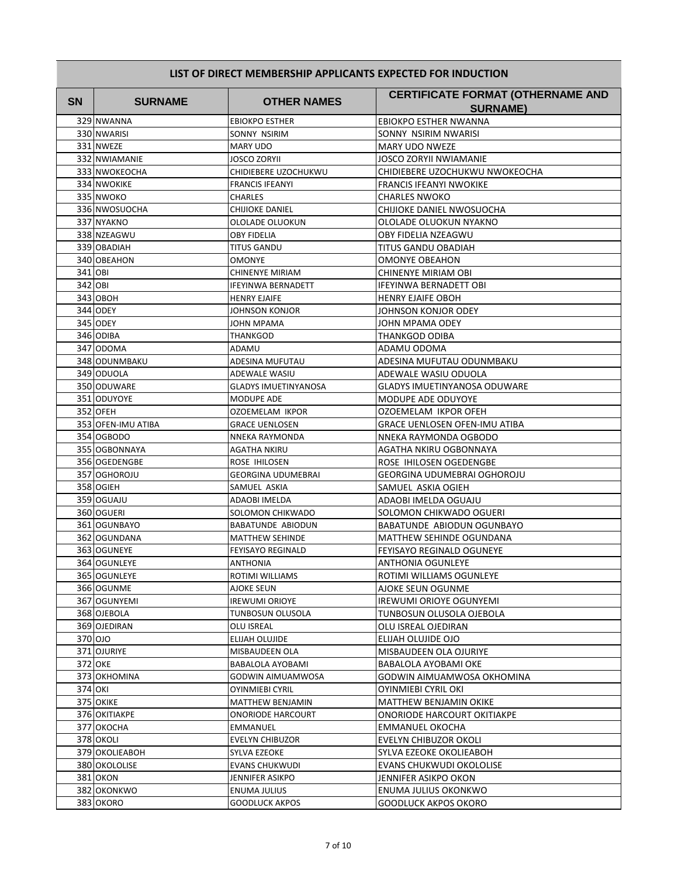| <b>SN</b> | <b>SURNAME</b>     | <b>OTHER NAMES</b>          | <b>CERTIFICATE FORMAT (OTHERNAME AND</b><br><b>SURNAME)</b> |
|-----------|--------------------|-----------------------------|-------------------------------------------------------------|
|           | 329 NWANNA         | <b>EBIOKPO ESTHER</b>       | EBIOKPO ESTHER NWANNA                                       |
|           | 330 NWARISI        | SONNY NSIRIM                | SONNY NSIRIM NWARISI                                        |
|           | 331 NWEZE          | <b>MARY UDO</b>             | MARY UDO NWEZE                                              |
|           | 332 NWIAMANIE      | JOSCO ZORYII                | <b>JOSCO ZORYII NWIAMANIE</b>                               |
|           | 333 NWOKEOCHA      | CHIDIEBERE UZOCHUKWU        | CHIDIEBERE UZOCHUKWU NWOKEOCHA                              |
|           | 334 NWOKIKE        | FRANCIS IFEANYI             | <b>FRANCIS IFEANYI NWOKIKE</b>                              |
|           | 335 NWOKO          | <b>CHARLES</b>              | <b>CHARLES NWOKO</b>                                        |
|           | 336 NWOSUOCHA      | CHIJIOKE DANIEL             | CHIJIOKE DANIEL NWOSUOCHA                                   |
|           | 337 NYAKNO         | OLOLADE OLUOKUN             | OLOLADE OLUOKUN NYAKNO                                      |
|           | 338 NZEAGWU        | <b>OBY FIDELIA</b>          | OBY FIDELIA NZEAGWU                                         |
|           | 339 OBADIAH        | <b>TITUS GANDU</b>          | TITUS GANDU OBADIAH                                         |
|           | 340 OBEAHON        | <b>OMONYE</b>               | <b>OMONYE OBEAHON</b>                                       |
|           | 341 OBI            | CHINENYE MIRIAM             | CHINENYE MIRIAM OBI                                         |
|           | 342 OBI            | IFEYINWA BERNADETT          | <b>IFEYINWA BERNADETT OBI</b>                               |
|           | 343 OBOH           | <b>HENRY EJAIFE</b>         | <b>HENRY EJAIFE OBOH</b>                                    |
|           | 344 ODEY           | JOHNSON KONJOR              | JOHNSON KONJOR ODEY                                         |
|           | 345 ODEY           | JOHN MPAMA                  | JOHN MPAMA ODEY                                             |
|           | 346 ODIBA          | THANKGOD                    | <b>THANKGOD ODIBA</b>                                       |
|           | 347 ODOMA          | ADAMU                       | ADAMU ODOMA                                                 |
|           | 348 ODUNMBAKU      | ADESINA MUFUTAU             | ADESINA MUFUTAU ODUNMBAKU                                   |
|           | 349 ODUOLA         | ADEWALE WASIU               | ADEWALE WASIU ODUOLA                                        |
|           | 350 ODUWARE        | <b>GLADYS IMUETINYANOSA</b> | <b>GLADYS IMUETINYANOSA ODUWARE</b>                         |
|           | 351 ODUYOYE        | MODUPE ADE                  | MODUPE ADE ODUYOYE                                          |
|           | 352 OFEH           | OZOEMELAM IKPOR             | OZOEMELAM IKPOR OFEH                                        |
|           | 353 OFEN-IMU ATIBA | GRACE UENLOSEN              | GRACE UENLOSEN OFEN-IMU ATIBA                               |
|           | 354 OGBODO         | NNEKA RAYMONDA              | NNEKA RAYMONDA OGBODO                                       |
|           | 355 OGBONNAYA      | AGATHA NKIRU                | AGATHA NKIRU OGBONNAYA                                      |
|           | 356 OGEDENGBE      | ROSE IHILOSEN               | ROSE IHILOSEN OGEDENGBE                                     |
|           | 357 OGHOROJU       | <b>GEORGINA UDUMEBRAI</b>   | GEORGINA UDUMEBRAI OGHOROJU                                 |
|           | 358 OGIEH          | SAMUEL ASKIA                | SAMUEL ASKIA OGIEH                                          |
|           | 359 OGUAJU         | ADAOBI IMELDA               | ADAOBI IMELDA OGUAJU                                        |
|           | 360 OGUERI         | SOLOMON CHIKWADO            | SOLOMON CHIKWADO OGUERI                                     |
|           | 361 OGUNBAYO       | <b>BABATUNDE ABIODUN</b>    | BABATUNDE ABIODUN OGUNBAYO                                  |
|           | 362 OGUNDANA       | <b>MATTHEW SEHINDE</b>      | MATTHEW SEHINDE OGUNDANA                                    |
|           | 363 OGUNEYE        | <b>FEYISAYO REGINALD</b>    | <b>FEYISAYO REGINALD OGUNEYE</b>                            |
|           | 364 OGUNLEYE       | ANTHONIA                    | ANTHONIA OGUNLEYE                                           |
|           | 365 OGUNLEYE       | ROTIMI WILLIAMS             | ROTIMI WILLIAMS OGUNLEYE                                    |
|           | 366 OGUNME         | AJOKE SEUN                  | AJOKE SEUN OGUNME                                           |
|           | 367 OGUNYEMI       | <b>IREWUMI ORIOYE</b>       | <b>IREWUMI ORIOYE OGUNYEMI</b>                              |
|           | 368 OJEBOLA        | TUNBOSUN OLUSOLA            | TUNBOSUN OLUSOLA OJEBOLA                                    |
|           | 369 OJEDIRAN       | OLU ISREAL                  | OLU ISREAL OJEDIRAN                                         |
|           | 370 OJO            | ELIJAH OLUJIDE              | ELIJAH OLUJIDE OJO                                          |
|           | 371 OJURIYE        | MISBAUDEEN OLA              | MISBAUDEEN OLA OJURIYE                                      |
|           | 372 OKE            | BABALOLA AYOBAMI            | BABALOLA AYOBAMI OKE                                        |
|           | 373 OKHOMINA       | GODWIN AIMUAMWOSA           | GODWIN AIMUAMWOSA OKHOMINA                                  |
|           | 374 OKI            | <b>OYINMIEBI CYRIL</b>      | OYINMIEBI CYRIL OKI                                         |
|           | 375 OKIKE          | <b>MATTHEW BENJAMIN</b>     | <b>MATTHEW BENJAMIN OKIKE</b>                               |
|           | 376 OKITIAKPE      | <b>ONORIODE HARCOURT</b>    | ONORIODE HARCOURT OKITIAKPE                                 |
|           | 377 OKOCHA         | EMMANUEL                    | EMMANUEL OKOCHA                                             |
|           | 378 OKOLI          | EVELYN CHIBUZOR             | EVELYN CHIBUZOR OKOLI                                       |
|           | 379 OKOLIEABOH     | SYLVA EZEOKE                | SYLVA EZEOKE OKOLIEABOH                                     |
|           | 380 OKOLOLISE      | <b>EVANS CHUKWUDI</b>       | EVANS CHUKWUDI OKOLOLISE                                    |
|           | 381 OKON           | JENNIFER ASIKPO             | JENNIFER ASIKPO OKON                                        |
|           | 382 OKONKWO        | ENUMA JULIUS                | ENUMA JULIUS OKONKWO                                        |
|           | 383 OKORO          | GOODLUCK AKPOS              | <b>GOODLUCK AKPOS OKORO</b>                                 |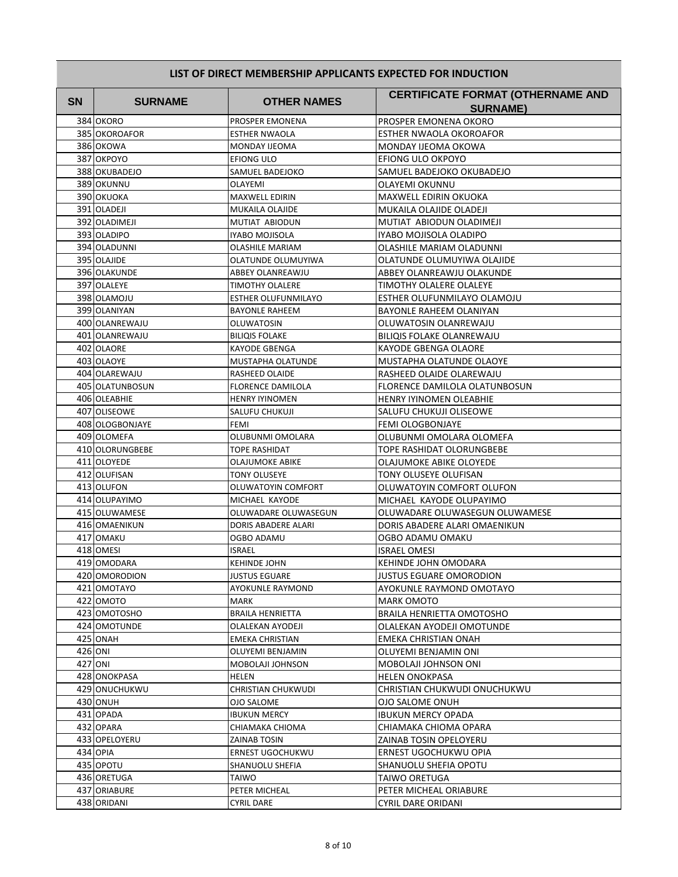| <b>SN</b> | <b>SURNAME</b>  | <b>OTHER NAMES</b>       | <b>CERTIFICATE FORMAT (OTHERNAME AND</b><br><b>SURNAME)</b> |
|-----------|-----------------|--------------------------|-------------------------------------------------------------|
|           | 384 OKORO       | PROSPER EMONENA          | PROSPER EMONENA OKORO                                       |
|           | 385 OKOROAFOR   | <b>ESTHER NWAOLA</b>     | ESTHER NWAOLA OKOROAFOR                                     |
|           | 386 OKOWA       | <b>MONDAY IJEOMA</b>     | MONDAY IJEOMA OKOWA                                         |
|           | 387 OKPOYO      | EFIONG ULO               | EFIONG ULO OKPOYO                                           |
|           | 388 OKUBADEJO   | SAMUEL BADEJOKO          | SAMUEL BADEJOKO OKUBADEJO                                   |
|           | 389 OKUNNU      | OLAYEMI                  | OLAYEMI OKUNNU                                              |
|           | 390 OKUOKA      | <b>MAXWELL EDIRIN</b>    | MAXWELL EDIRIN OKUOKA                                       |
|           | 391 OLADEJI     | MUKAILA OLAJIDE          | MUKAILA OLAJIDE OLADEJI                                     |
|           | 392 OLADIMEJI   | MUTIAT ABIODUN           | MUTIAT ABIODUN OLADIMEJI                                    |
|           | 393 OLADIPO     | IYABO MOJISOLA           | IYABO MOJISOLA OLADIPO                                      |
|           | 394 OLADUNNI    | <b>OLASHILE MARIAM</b>   | OLASHILE MARIAM OLADUNNI                                    |
|           | 395 OLAJIDE     | OLATUNDE OLUMUYIWA       | OLATUNDE OLUMUYIWA OLAJIDE                                  |
|           | 396 OLAKUNDE    | ABBEY OLANREAWJU         | ABBEY OLANREAWJU OLAKUNDE                                   |
|           | 397 OLALEYE     | <b>TIMOTHY OLALERE</b>   | TIMOTHY OLALERE OLALEYE                                     |
|           | 398 OLAMOJU     | ESTHER OLUFUNMILAYO      | ESTHER OLUFUNMILAYO OLAMOJU                                 |
|           | 399 OLANIYAN    | <b>BAYONLE RAHEEM</b>    | BAYONLE RAHEEM OLANIYAN                                     |
|           | 400 OLANREWAJU  | OLUWATOSIN               | OLUWATOSIN OLANREWAJU                                       |
|           | 401 OLANREWAJU  | <b>BILIQIS FOLAKE</b>    | BILIQIS FOLAKE OLANREWAJU                                   |
|           | 402 OLAORE      | KAYODE GBENGA            | KAYODE GBENGA OLAORE                                        |
|           | 403 OLAOYE      | MUSTAPHA OLATUNDE        | MUSTAPHA OLATUNDE OLAOYE                                    |
|           | 404 OLAREWAJU   | <b>RASHEED OLAIDE</b>    | RASHEED OLAIDE OLAREWAJU                                    |
|           | 405 OLATUNBOSUN | <b>FLORENCE DAMILOLA</b> | FLORENCE DAMILOLA OLATUNBOSUN                               |
|           | 406 OLEABHIE    | <b>HENRY IYINOMEN</b>    | <b>HENRY IYINOMEN OLEABHIE</b>                              |
|           | 407 OLISEOWE    | SALUFU CHUKUJI           | SALUFU CHUKUJI OLISEOWE                                     |
|           | 408 OLOGBONJAYE | FEMI                     | FEMI OLOGBONJAYE                                            |
|           | 409 OLOMEFA     | OLUBUNMI OMOLARA         | OLUBUNMI OMOLARA OLOMEFA                                    |
|           | 410 OLORUNGBEBE | <b>TOPE RASHIDAT</b>     | TOPE RASHIDAT OLORUNGBEBE                                   |
|           | 411 OLOYEDE     | OLAJUMOKE ABIKE          | OLAJUMOKE ABIKE OLOYEDE                                     |
|           | 412 OLUFISAN    | <b>TONY OLUSEYE</b>      | TONY OLUSEYE OLUFISAN                                       |
|           | 413 OLUFON      | OLUWATOYIN COMFORT       | OLUWATOYIN COMFORT OLUFON                                   |
|           | 414 OLUPAYIMO   | MICHAEL KAYODE           | MICHAEL KAYODE OLUPAYIMO                                    |
|           | 415 OLUWAMESE   | OLUWADARE OLUWASEGUN     | OLUWADARE OLUWASEGUN OLUWAMESE                              |
|           | 416 OMAENIKUN   | DORIS ABADERE ALARI      | DORIS ABADERE ALARI OMAENIKUN                               |
|           | 417 OMAKU       | <b>OGBO ADAMU</b>        | OGBO ADAMU OMAKU                                            |
|           | 418 OMESI       | <b>ISRAEL</b>            | <b>ISRAEL OMESI</b>                                         |
|           | 419 OMODARA     | KEHINDE JOHN             | <b>KEHINDE JOHN OMODARA</b>                                 |
|           | 420 OMORODION   | <b>JUSTUS EGUARE</b>     | JUSTUS EGUARE OMORODION                                     |
|           | 421 OMOTAYO     | AYOKUNLE RAYMOND         | AYOKUNLE RAYMOND OMOTAYO                                    |
|           | 422 OMOTO       | MARK                     | <b>MARK OMOTO</b>                                           |
|           | 423 OMOTOSHO    | <b>BRAILA HENRIETTA</b>  | BRAILA HENRIETTA OMOTOSHO                                   |
|           | 424 OMOTUNDE    | OLALEKAN AYODEJI         | OLALEKAN AYODEJI OMOTUNDE                                   |
|           | 425 ONAH        | <b>EMEKA CHRISTIAN</b>   | <b>EMEKA CHRISTIAN ONAH</b>                                 |
|           | 426 ONI         | OLUYEMI BENJAMIN         | OLUYEMI BENJAMIN ONI                                        |
|           | 427 ONI         | MOBOLAJI JOHNSON         | MOBOLAJI JOHNSON ONI                                        |
|           | 428 ONOKPASA    | HELEN                    | <b>HELEN ONOKPASA</b>                                       |
|           | 429 ONUCHUKWU   | CHRISTIAN CHUKWUDI       | CHRISTIAN CHUKWUDI ONUCHUKWU                                |
|           | 430 ONUH        | <b>OJO SALOME</b>        | OJO SALOME ONUH                                             |
|           | 431 OPADA       | <b>IBUKUN MERCY</b>      | <b>IBUKUN MERCY OPADA</b>                                   |
|           | 432 OPARA       | CHIAMAKA CHIOMA          | CHIAMAKA CHIOMA OPARA                                       |
|           | 433 OPELOYERU   | ZAINAB TOSIN             | ZAINAB TOSIN OPELOYERU                                      |
|           | 434 OPIA        | ERNEST UGOCHUKWU         | ERNEST UGOCHUKWU OPIA                                       |
|           | 435 OPOTU       | SHANUOLU SHEFIA          | SHANUOLU SHEFIA OPOTU                                       |
|           | 436 ORETUGA     | TAIWO                    | TAIWO ORETUGA                                               |
|           | 437 ORIABURE    | PETER MICHEAL            | PETER MICHEAL ORIABURE                                      |
|           | 438 ORIDANI     | CYRIL DARE               | CYRIL DARE ORIDANI                                          |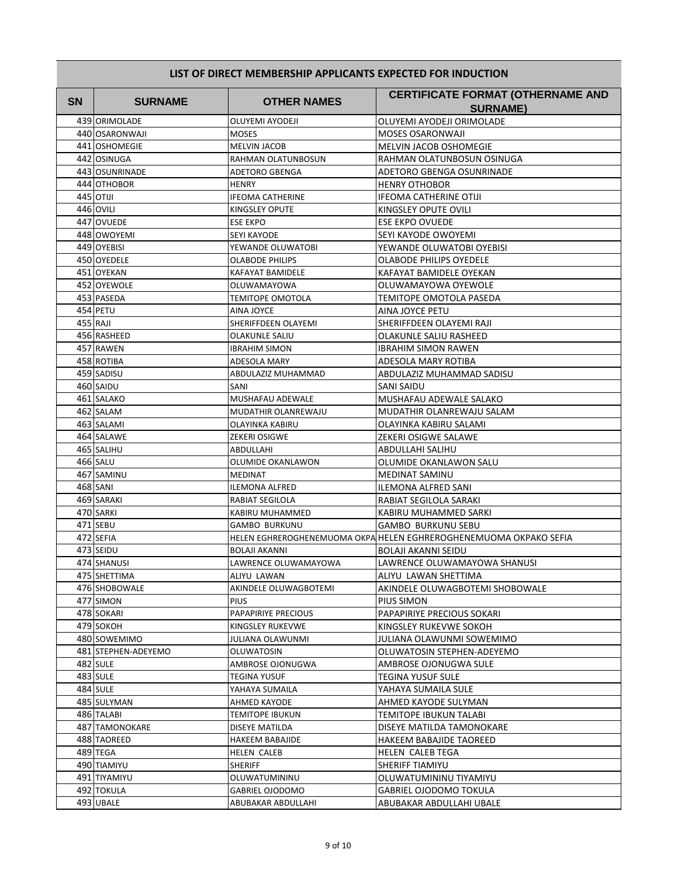| <b>SN</b> | <b>SURNAME</b>          | <b>OTHER NAMES</b>                | <b>CERTIFICATE FORMAT (OTHERNAME AND</b>                          |
|-----------|-------------------------|-----------------------------------|-------------------------------------------------------------------|
|           |                         |                                   | <b>SURNAME)</b>                                                   |
|           | 439 ORIMOLADE           | <b>OLUYEMI AYODEJI</b>            | OLUYEMI AYODEJI ORIMOLADE                                         |
|           | 440 OSARONWAJI          | <b>MOSES</b>                      | MOSES OSARONWAJI                                                  |
|           | 441 OSHOMEGIE           | <b>MELVIN JACOB</b>               | MELVIN JACOB OSHOMEGIE                                            |
|           | 442 OSINUGA             | RAHMAN OLATUNBOSUN                | RAHMAN OLATUNBOSUN OSINUGA                                        |
|           | 443 OSUNRINADE          | ADETORO GBENGA                    | ADETORO GBENGA OSUNRINADE                                         |
|           | 444 OTHOBOR             | <b>HENRY</b>                      | <b>HENRY OTHOBOR</b>                                              |
|           | 445 OTIJI               | <b>IFEOMA CATHERINE</b>           | IFEOMA CATHERINE OTIJI                                            |
|           | 446 OVILI               | <b>KINGSLEY OPUTE</b>             | KINGSLEY OPUTE OVILI                                              |
|           | 447 OVUEDE              | <b>ESE EKPO</b>                   | ESE EKPO OVUEDE                                                   |
|           | 448 OWOYEMI             | <b>SEYI KAYODE</b>                | SEYI KAYODE OWOYEMI                                               |
|           | 449 OYEBISI             | YEWANDE OLUWATOBI                 | YEWANDE OLUWATOBI OYEBISI                                         |
|           | 450 OYEDELE             | <b>OLABODE PHILIPS</b>            | OLABODE PHILIPS OYEDELE                                           |
|           | 451 OYEKAN              | KAFAYAT BAMIDELE                  | KAFAYAT BAMIDELE OYEKAN                                           |
|           | 452 OYEWOLE             | OLUWAMAYOWA                       | OLUWAMAYOWA OYEWOLE                                               |
|           | 453 PASEDA              | TEMITOPE OMOTOLA                  | TEMITOPE OMOTOLA PASEDA                                           |
|           | 454 PETU                | AINA JOYCE                        | AINA JOYCE PETU                                                   |
|           | 455 RAJI                | SHERIFFDEEN OLAYEMI               | SHERIFFDEEN OLAYEMI RAJI                                          |
|           | 456 RASHEED             | <b>OLAKUNLE SALIU</b>             | <b>OLAKUNLE SALIU RASHEED</b>                                     |
|           | 457 RAWEN               | <b>IBRAHIM SIMON</b>              | IBRAHIM SIMON RAWEN                                               |
|           | 458 ROTIBA              | ADESOLA MARY                      | ADESOLA MARY ROTIBA                                               |
|           | 459 SADISU<br>460 SAIDU | ABDULAZIZ MUHAMMAD                | ABDULAZIZ MUHAMMAD SADISU                                         |
|           | 461 SALAKO              | SANI                              | SANI SAIDU                                                        |
|           |                         | MUSHAFAU ADEWALE                  | MUSHAFAU ADEWALE SALAKO                                           |
|           | 462 SALAM<br>463 SALAMI | MUDATHIR OLANREWAJU               | MUDATHIR OLANREWAJU SALAM                                         |
|           | 464 SALAWE              | OLAYINKA KABIRU                   | OLAYINKA KABIRU SALAMI<br>ZEKERI OSIGWE SALAWE                    |
|           | 465 SALIHU              | <b>ZEKERI OSIGWE</b><br>ABDULLAHI |                                                                   |
|           | 466 SALU                | OLUMIDE OKANLAWON                 | ABDULLAHI SALIHU<br>OLUMIDE OKANLAWON SALU                        |
|           | 467 SAMINU              | MEDINAT                           | MEDINAT SAMINU                                                    |
|           | <b>468 SANI</b>         | <b>ILEMONA ALFRED</b>             | ILEMONA ALFRED SANI                                               |
|           | 469 SARAKI              | RABIAT SEGILOLA                   | RABIAT SEGILOLA SARAKI                                            |
|           | 470 SARKI               | KABIRU MUHAMMED                   | KABIRU MUHAMMED SARKI                                             |
|           | 471 SEBU                | <b>GAMBO BURKUNU</b>              | <b>GAMBO BURKUNU SEBU</b>                                         |
|           | 472 SEFIA               |                                   | HELEN EGHREROGHENEMUOMA OKPA HELEN EGHREROGHENEMUOMA OKPAKO SEFIA |
|           | 473 SEIDU               | BOLAJI AKANNI                     | BOLAJI AKANNI SEIDU                                               |
|           | 474 SHANUSI             | LAWRENCE OLUWAMAYOWA              | LAWRENCE OLUWAMAYOWA SHANUSI                                      |
|           | 475 SHETTIMA            | ALIYU LAWAN                       | ALIYU LAWAN SHETTIMA                                              |
|           | 476 SHOBOWALE           | AKINDELE OLUWAGBOTEMI             | AKINDELE OLUWAGBOTEMI SHOBOWALE                                   |
|           | 477 SIMON               | <b>PIUS</b>                       | PIUS SIMON                                                        |
|           | 478 SOKARI              | PAPAPIRIYE PRECIOUS               | PAPAPIRIYE PRECIOUS SOKARI                                        |
|           | 479 SOKOH               | KINGSLEY RUKEVWE                  | KINGSLEY RUKEVWE SOKOH                                            |
|           | 480 SOWEMIMO            | JULIANA OLAWUNMI                  | JULIANA OLAWUNMI SOWEMIMO                                         |
|           | 481 STEPHEN-ADEYEMO     | <b>OLUWATOSIN</b>                 | OLUWATOSIN STEPHEN-ADEYEMO                                        |
|           | 482 SULE                | AMBROSE OJONUGWA                  | AMBROSE OJONUGWA SULE                                             |
|           | 483 SULE                | TEGINA YUSUF                      | TEGINA YUSUF SULE                                                 |
|           | 484 SULE                | YAHAYA SUMAILA                    | YAHAYA SUMAILA SULE                                               |
|           | 485 SULYMAN             | AHMED KAYODE                      | AHMED KAYODE SULYMAN                                              |
|           | 486 TALABI              | <b>TEMITOPE IBUKUN</b>            | TEMITOPE IBUKUN TALABI                                            |
|           | 487 TAMONOKARE          | DISEYE MATILDA                    | DISEYE MATILDA TAMONOKARE                                         |
|           | 488 TAOREED             | <b>HAKEEM BABAJIDE</b>            | HAKEEM BABAJIDE TAOREED                                           |
|           | 489 TEGA                | <b>HELEN CALEB</b>                | HELEN CALEB TEGA                                                  |
|           | 490 TIAMIYU             | <b>SHERIFF</b>                    | SHERIFF TIAMIYU                                                   |
|           | 491 TIYAMIYU            | OLUWATUMININU                     | OLUWATUMININU TIYAMIYU                                            |
|           | 492 TOKULA              | GABRIEL OJODOMO                   | GABRIEL OJODOMO TOKULA                                            |
|           | 493 UBALE               | ABUBAKAR ABDULLAHI                | ABUBAKAR ABDULLAHI UBALE                                          |